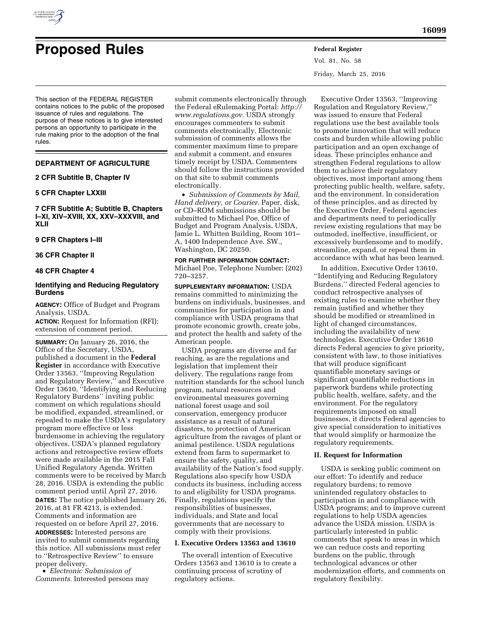

# **Proposed Rules Federal Register**

Vol. 81, No. 58 Friday, March 25, 2016

This section of the FEDERAL REGISTER contains notices to the public of the proposed issuance of rules and regulations. The purpose of these notices is to give interested persons an opportunity to participate in the rule making prior to the adoption of the final rules.

# **DEPARTMENT OF AGRICULTURE**

**2 CFR Subtitle B, Chapter IV** 

## **5 CFR Chapter LXXIII**

**7 CFR Subtitle A; Subtitle B, Chapters I–XI, XIV–XVIII, XX, XXV–XXXVIII, and XLII** 

#### **9 CFR Chapters I–III**

**36 CFR Chapter II** 

# **48 CFR Chapter 4**

## **Identifying and Reducing Regulatory Burdens**

**AGENCY:** Office of Budget and Program Analysis, USDA.

**ACTION:** Request for Information (RFI); extension of comment period.

**SUMMARY:** On January 26, 2016, the Office of the Secretary, USDA, published a document in the **Federal Register** in accordance with Executive Order 13563, ''Improving Regulation and Regulatory Review,'' and Executive Order 13610, ''Identifying and Reducing Regulatory Burdens'' inviting public comment on which regulations should be modified, expanded, streamlined, or repealed to make the USDA's regulatory program more effective or less burdensome in achieving the regulatory objectives. USDA's planned regulatory actions and retrospective review efforts were made available in the 2015 Fall Unified Regulatory Agenda. Written comments were to be received by March 28, 2016. USDA is extending the public comment period until April 27, 2016. **DATES:** The notice published January 26, 2016, at 81 FR 4213, is extended. Comments and information are requested on or before April 27, 2016. **ADDRESSES:** Interested persons are invited to submit comments regarding this notice. All submissions must refer to ''Retrospective Review'' to ensure

proper delivery. • *Electronic Submission of Comments.* Interested persons may submit comments electronically through the Federal eRulemaking Portal: *[http://](http://www.regulations.gov) [www.regulations.gov.](http://www.regulations.gov)* USDA strongly encourages commenters to submit comments electronically. Electronic submission of comments allows the commenter maximum time to prepare and submit a comment, and ensures timely receipt by USDA. Commenters should follow the instructions provided on that site to submit comments electronically.

• *Submission of Comments by Mail, Hand delivery, or Courier.* Paper, disk, or CD–ROM submissions should be submitted to Michael Poe, Office of Budget and Program Analysis, USDA, Jamie L. Whitten Building, Room 101– A, 1400 Independence Ave. SW., Washington, DC 20250.

**FOR FURTHER INFORMATION CONTACT:**  Michael Poe, Telephone Number: (202) 720–3257.

**SUPPLEMENTARY INFORMATION:** USDA remains committed to minimizing the burdens on individuals, businesses, and communities for participation in and compliance with USDA programs that promote economic growth, create jobs, and protect the health and safety of the American people.

USDA programs are diverse and far reaching, as are the regulations and legislation that implement their delivery. The regulations range from nutrition standards for the school lunch program, natural resources and environmental measures governing national forest usage and soil conservation, emergency producer assistance as a result of natural disasters, to protection of American agriculture from the ravages of plant or animal pestilence. USDA regulations extend from farm to supermarket to ensure the safety, quality, and availability of the Nation's food supply. Regulations also specify how USDA conducts its business, including access to and eligibility for USDA programs. Finally, regulations specify the responsibilities of businesses, individuals, and State and local governments that are necessary to comply with their provisions.

## **I. Executive Orders 13563 and 13610**

The overall intention of Executive Orders 13563 and 13610 is to create a continuing process of scrutiny of regulatory actions.

Executive Order 13563, ''Improving Regulation and Regulatory Review,'' was issued to ensure that Federal regulations use the best available tools to promote innovation that will reduce costs and burden while allowing public participation and an open exchange of ideas. These principles enhance and strengthen Federal regulations to allow them to achieve their regulatory objectives, most important among them protecting public health, welfare, safety, and the environment. In consideration of these principles, and as directed by the Executive Order, Federal agencies and departments need to periodically review existing regulations that may be outmoded, ineffective, insufficient, or excessively burdensome and to modify, streamline, expand, or repeal them in accordance with what has been learned.

In addition, Executive Order 13610, ''Identifying and Reducing Regulatory Burdens,'' directed Federal agencies to conduct retrospective analyses of existing rules to examine whether they remain justified and whether they should be modified or streamlined in light of changed circumstances, including the availability of new technologies. Executive Order 13610 directs Federal agencies to give priority, consistent with law, to those initiatives that will produce significant quantifiable monetary savings or significant quantifiable reductions in paperwork burdens while protecting public health, welfare, safety, and the environment. For the regulatory requirements imposed on small businesses, it directs Federal agencies to give special consideration to initiatives that would simplify or harmonize the regulatory requirements.

#### **II. Request for Information**

USDA is seeking public comment on our effort: To identify and reduce regulatory burdens; to remove unintended regulatory obstacles to participation in and compliance with USDA programs; and to improve current regulations to help USDA agencies advance the USDA mission. USDA is particularly interested in public comments that speak to areas in which we can reduce costs and reporting burdens on the public, through technological advances or other modernization efforts, and comments on regulatory flexibility.